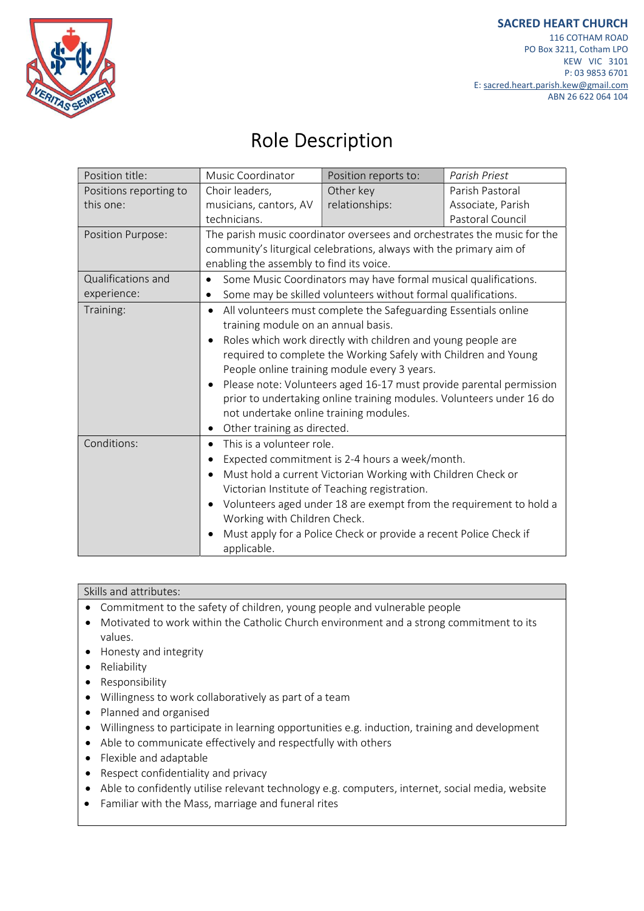

## Role Description

| Position title:        | Music Coordinator                                                                                                                                                                                                                                                                                                                                                                                                                                                               | Position reports to:                                              | Parish Priest     |
|------------------------|---------------------------------------------------------------------------------------------------------------------------------------------------------------------------------------------------------------------------------------------------------------------------------------------------------------------------------------------------------------------------------------------------------------------------------------------------------------------------------|-------------------------------------------------------------------|-------------------|
| Positions reporting to | Choir leaders,                                                                                                                                                                                                                                                                                                                                                                                                                                                                  | Other key                                                         | Parish Pastoral   |
| this one:              | musicians, cantors, AV                                                                                                                                                                                                                                                                                                                                                                                                                                                          | relationships:                                                    | Associate, Parish |
|                        | technicians.                                                                                                                                                                                                                                                                                                                                                                                                                                                                    |                                                                   | Pastoral Council  |
| Position Purpose:      | The parish music coordinator oversees and orchestrates the music for the                                                                                                                                                                                                                                                                                                                                                                                                        |                                                                   |                   |
|                        | community's liturgical celebrations, always with the primary aim of                                                                                                                                                                                                                                                                                                                                                                                                             |                                                                   |                   |
|                        | enabling the assembly to find its voice.                                                                                                                                                                                                                                                                                                                                                                                                                                        |                                                                   |                   |
| Qualifications and     | Some Music Coordinators may have formal musical qualifications.<br>$\bullet$                                                                                                                                                                                                                                                                                                                                                                                                    |                                                                   |                   |
| experience:            | Some may be skilled volunteers without formal qualifications.<br>٠                                                                                                                                                                                                                                                                                                                                                                                                              |                                                                   |                   |
| Training:              | All volunteers must complete the Safeguarding Essentials online<br>$\bullet$<br>training module on an annual basis.<br>Roles which work directly with children and young people are<br>$\bullet$<br>required to complete the Working Safely with Children and Young<br>People online training module every 3 years.<br>Please note: Volunteers aged 16-17 must provide parental permission<br>$\bullet$<br>prior to undertaking online training modules. Volunteers under 16 do |                                                                   |                   |
|                        |                                                                                                                                                                                                                                                                                                                                                                                                                                                                                 |                                                                   |                   |
|                        |                                                                                                                                                                                                                                                                                                                                                                                                                                                                                 |                                                                   |                   |
|                        |                                                                                                                                                                                                                                                                                                                                                                                                                                                                                 |                                                                   |                   |
|                        |                                                                                                                                                                                                                                                                                                                                                                                                                                                                                 |                                                                   |                   |
|                        |                                                                                                                                                                                                                                                                                                                                                                                                                                                                                 |                                                                   |                   |
|                        |                                                                                                                                                                                                                                                                                                                                                                                                                                                                                 |                                                                   |                   |
|                        | not undertake online training modules.                                                                                                                                                                                                                                                                                                                                                                                                                                          |                                                                   |                   |
|                        | Other training as directed.<br>٠                                                                                                                                                                                                                                                                                                                                                                                                                                                |                                                                   |                   |
| Conditions:            | This is a volunteer role.<br>$\bullet$                                                                                                                                                                                                                                                                                                                                                                                                                                          |                                                                   |                   |
|                        | Expected commitment is 2-4 hours a week/month.<br>$\bullet$                                                                                                                                                                                                                                                                                                                                                                                                                     |                                                                   |                   |
|                        | Must hold a current Victorian Working with Children Check or<br>$\bullet$                                                                                                                                                                                                                                                                                                                                                                                                       |                                                                   |                   |
|                        | Victorian Institute of Teaching registration.                                                                                                                                                                                                                                                                                                                                                                                                                                   |                                                                   |                   |
|                        | Volunteers aged under 18 are exempt from the requirement to hold a<br>$\bullet$                                                                                                                                                                                                                                                                                                                                                                                                 |                                                                   |                   |
|                        | Working with Children Check.                                                                                                                                                                                                                                                                                                                                                                                                                                                    |                                                                   |                   |
|                        | applicable.                                                                                                                                                                                                                                                                                                                                                                                                                                                                     | Must apply for a Police Check or provide a recent Police Check if |                   |
|                        |                                                                                                                                                                                                                                                                                                                                                                                                                                                                                 |                                                                   |                   |

## Skills and attributes:

- Commitment to the safety of children, young people and vulnerable people
- Motivated to work within the Catholic Church environment and a strong commitment to its values.
- Honesty and integrity
- Reliability
- Responsibility
- Willingness to work collaboratively as part of a team
- Planned and organised
- Willingness to participate in learning opportunities e.g. induction, training and development
- Able to communicate effectively and respectfully with others
- Flexible and adaptable
- Respect confidentiality and privacy
- Able to confidently utilise relevant technology e.g. computers, internet, social media, website
- Familiar with the Mass, marriage and funeral rites